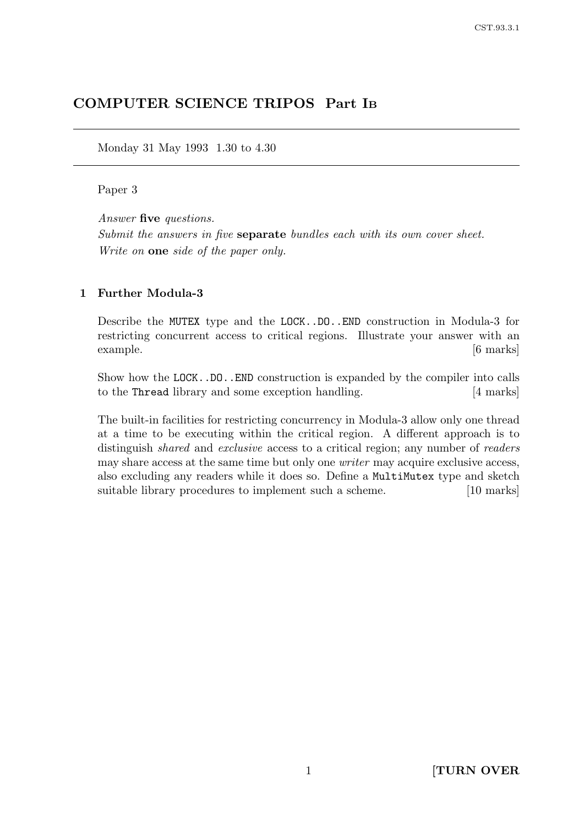# COMPUTER SCIENCE TRIPOS Part I<sup>B</sup>

Monday 31 May 1993 1.30 to 4.30

## Paper 3

Answer five questions. Submit the answers in five **separate** bundles each with its own cover sheet. Write on one side of the paper only.

#### 1 Further Modula-3

Describe the MUTEX type and the LOCK..DO..END construction in Modula-3 for restricting concurrent access to critical regions. Illustrate your answer with an example. [6 marks]

Show how the LOCK..DO..END construction is expanded by the compiler into calls to the Thread library and some exception handling. [4 marks]

The built-in facilities for restricting concurrency in Modula-3 allow only one thread at a time to be executing within the critical region. A different approach is to distinguish *shared* and *exclusive* access to a critical region; any number of *readers* may share access at the same time but only one writer may acquire exclusive access, also excluding any readers while it does so. Define a MultiMutex type and sketch suitable library procedures to implement such a scheme. [10 marks]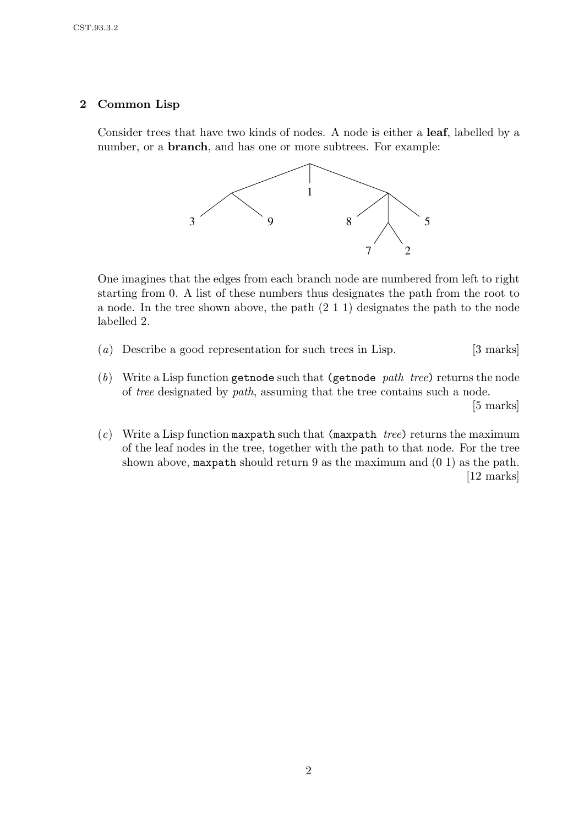## 2 Common Lisp

Consider trees that have two kinds of nodes. A node is either a leaf, labelled by a number, or a **branch**, and has one or more subtrees. For example:



One imagines that the edges from each branch node are numbered from left to right starting from 0. A list of these numbers thus designates the path from the root to a node. In the tree shown above, the path (2 1 1) designates the path to the node labelled 2.

- (a) Describe a good representation for such trees in Lisp.  $[3 \text{ marks}]$
- (b) Write a Lisp function getnode such that (getnode path tree) returns the node of tree designated by path, assuming that the tree contains such a node. [5 marks]
- (c) Write a Lisp function maxpath such that (maxpath tree) returns the maximum of the leaf nodes in the tree, together with the path to that node. For the tree shown above, maxpath should return 9 as the maximum and (0 1) as the path. [12 marks]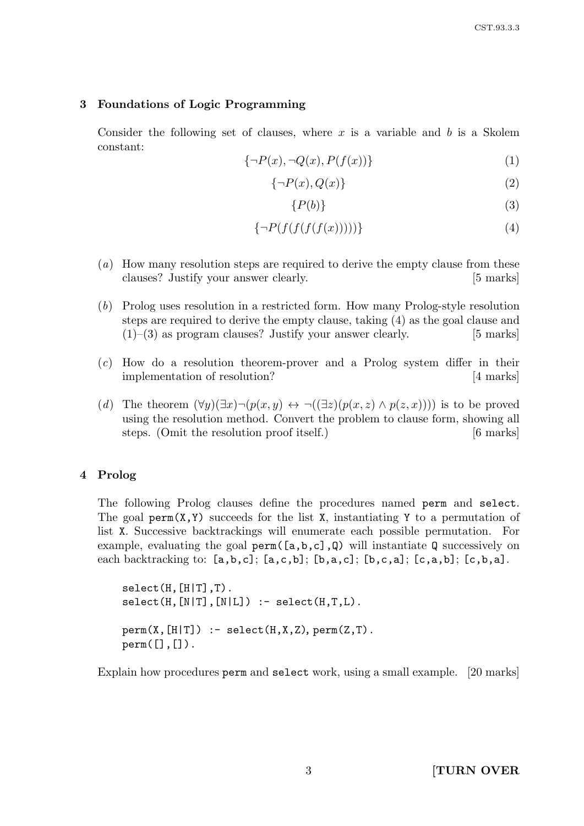#### 3 Foundations of Logic Programming

Consider the following set of clauses, where x is a variable and b is a Skolem constant:

$$
\{\neg P(x), \neg Q(x), P(f(x))\}\tag{1}
$$

$$
\{\neg P(x), Q(x)\}\tag{2}
$$

$$
\{P(b)\}\tag{3}
$$

$$
\{\neg P(f(f(f(f(x))))))\}\tag{4}
$$

- (a) How many resolution steps are required to derive the empty clause from these clauses? Justify your answer clearly. [5 marks]
- (b) Prolog uses resolution in a restricted form. How many Prolog-style resolution steps are required to derive the empty clause, taking (4) as the goal clause and  $(1)$ –(3) as program clauses? Justify your answer clearly. [5 marks]
- (c) How do a resolution theorem-prover and a Prolog system differ in their implementation of resolution? [4 marks]
- (d) The theorem  $(\forall y)(\exists x)\neg(p(x,y) \leftrightarrow \neg((\exists z)(p(x,z) \land p(z,x))))$  is to be proved using the resolution method. Convert the problem to clause form, showing all steps. (Omit the resolution proof itself.) [6 marks]

#### 4 Prolog

The following Prolog clauses define the procedures named perm and select. The goal perm( $X, Y$ ) succeeds for the list X, instantiating Y to a permutation of list X. Successive backtrackings will enumerate each possible permutation. For example, evaluating the goal perm( $[a,b,c]$ , $Q$ ) will instantiate Q successively on each backtracking to:  $[a,b,c]$ ;  $[a,c,b]$ ;  $[b,a,c]$ ;  $[b,c,a]$ ;  $[c,a,b]$ ;  $[c,b,a]$ .

 $select(H, [H|T], T)$ .  $select(H, [N|T], [N|L])$  :-  $select(H, T, L)$ .  $perm(X, [H|T])$  :- select $(H, X, Z)$ , perm $(Z, T)$ .  $perm([], [])$ .

Explain how procedures perm and select work, using a small example. [20 marks]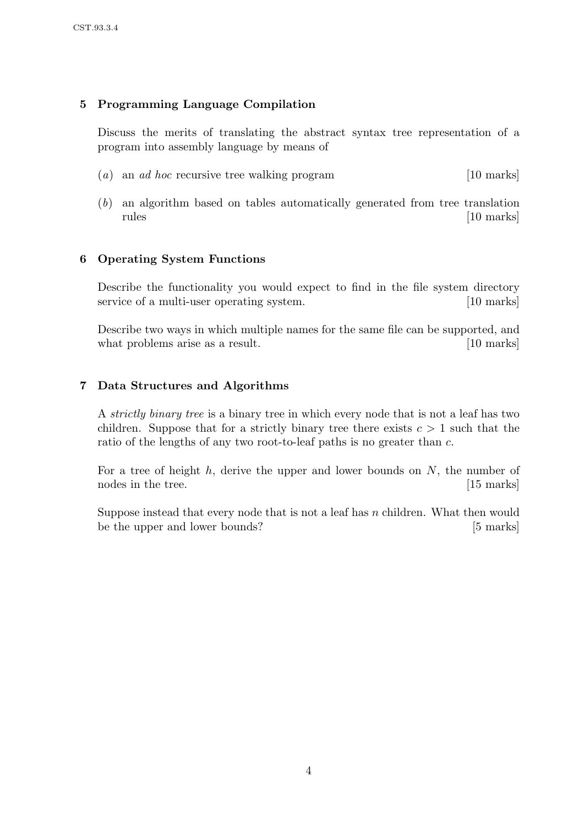# 5 Programming Language Compilation

Discuss the merits of translating the abstract syntax tree representation of a program into assembly language by means of

- (a) an ad hoc recursive tree walking program [10 marks]
- (b) an algorithm based on tables automatically generated from tree translation rules [10 marks]

# 6 Operating System Functions

Describe the functionality you would expect to find in the file system directory service of a multi-user operating system. [10 marks]

Describe two ways in which multiple names for the same file can be supported, and what problems arise as a result. [10 marks]

## 7 Data Structures and Algorithms

A strictly binary tree is a binary tree in which every node that is not a leaf has two children. Suppose that for a strictly binary tree there exists  $c > 1$  such that the ratio of the lengths of any two root-to-leaf paths is no greater than c.

For a tree of height  $h$ , derive the upper and lower bounds on  $N$ , the number of nodes in the tree. [15 marks]

Suppose instead that every node that is not a leaf has n children. What then would be the upper and lower bounds? [5 marks]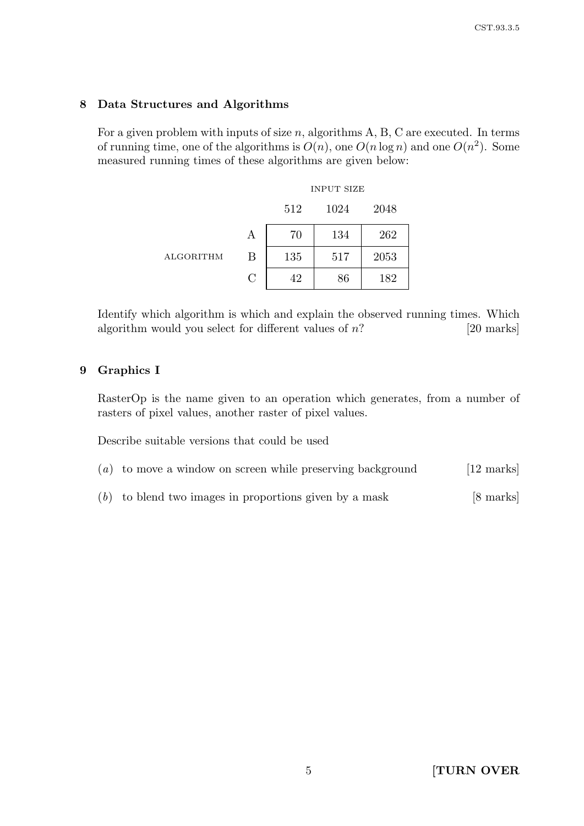## 8 Data Structures and Algorithms

For a given problem with inputs of size  $n$ , algorithms A, B, C are executed. In terms of running time, one of the algorithms is  $O(n)$ , one  $O(n \log n)$  and one  $O(n^2)$ . Some measured running times of these algorithms are given below:

|                  |               | <b>INPUT SIZE</b> |      |      |
|------------------|---------------|-------------------|------|------|
|                  |               | 512               | 1024 | 2048 |
| <b>ALGORITHM</b> | А             | 70                | 134  | 262  |
|                  | B             | 135               | 517  | 2053 |
|                  | $\mathcal{C}$ | 42                | 86   | 182  |

Identify which algorithm is which and explain the observed running times. Which algorithm would you select for different values of  $n$ ? [20 marks]

## 9 Graphics I

RasterOp is the name given to an operation which generates, from a number of rasters of pixel values, another raster of pixel values.

Describe suitable versions that could be used

- $(a)$  to move a window on screen while preserving background [12 marks]
- $(b)$  to blend two images in proportions given by a mask [8 marks]